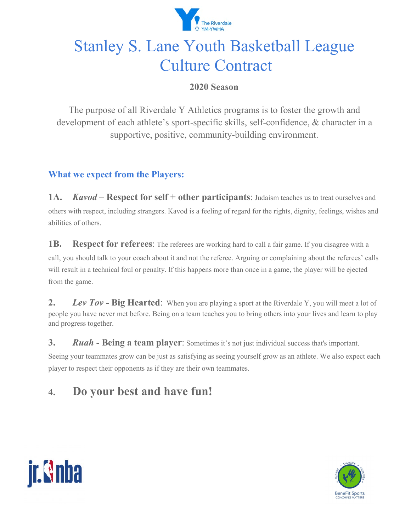

# Stanley S. Lane Youth Basketball League Culture Contract

### **2020 Season**

The purpose of all Riverdale Y Athletics programs is to foster the growth and development of each athlete's sport-specific skills, self-confidence, & character in a supportive, positive, community-building environment.

## **What we expect from the Players:**

**1A.** *Kavod* – **Respect for self** + **other participants**: Judaism teaches us to treat ourselves and others with respect, including strangers. Kavod is a feeling of regard for the rights, dignity, feelings, wishes and abilities of others.

**1B. Respect for referees**: The referees are working hard to call a fair game. If you disagree with a call, you should talk to your coach about it and not the referee. Arguing or complaining about the referees' calls will result in a technical foul or penalty. If this happens more than once in a game, the player will be ejected from the game.

**2.** *Lev Tov* **- Big Hearted**: When you are playing a sport at the Riverdale Y, you will meet a lot of people you have never met before. Being on a team teaches you to bring others into your lives and learn to play and progress together.

**3.** *Ruah* **- Being a team player**: Sometimes it's not just individual success that's important.

Seeing your teammates grow can be just as satisfying as seeing yourself grow as an athlete. We also expect each player to respect their opponents as if they are their own teammates.

# **4. Do your best and have fun!**